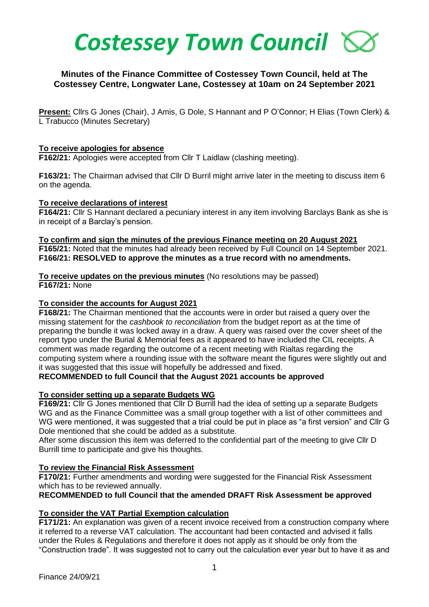

# **Minutes of the Finance Committee of Costessey Town Council, held at The Costessey Centre, Longwater Lane, Costessey at 10am on 24 September 2021**

**Present:** Cllrs G Jones (Chair), J Amis, G Dole, S Hannant and P O'Connor; H Elias (Town Clerk) & L Trabucco (Minutes Secretary)

#### **To receive apologies for absence**

**F162/21:** Apologies were accepted from Cllr T Laidlaw (clashing meeting).

**F163/21:** The Chairman advised that Cllr D Burril might arrive later in the meeting to discuss item 6 on the agenda.

#### **To receive declarations of interest**

**F164/21:** Cllr S Hannant declared a pecuniary interest in any item involving Barclays Bank as she is in receipt of a Barclay's pension.

#### **To confirm and sign the minutes of the previous Finance meeting on 20 August 2021 F165/21:** Noted that the minutes had already been received by Full Council on 14 September 2021. **F166/21: RESOLVED to approve the minutes as a true record with no amendments.**

**To receive updates on the previous minutes** (No resolutions may be passed) **F167/21:** None

## **To consider the accounts for August 2021**

**F168/21:** The Chairman mentioned that the accounts were in order but raised a query over the missing statement for the *cashbook to reconciliation* from the budget report as at the time of preparing the bundle it was locked away in a draw. A query was raised over the cover sheet of the report typo under the Burial & Memorial fees as it appeared to have included the CIL receipts. A comment was made regarding the outcome of a recent meeting with Rialtas regarding the computing system where a rounding issue with the software meant the figures were slightly out and it was suggested that this issue will hopefully be addressed and fixed.

**RECOMMENDED to full Council that the August 2021 accounts be approved**

## **To consider setting up a separate Budgets WG**

**F169/21:** Cllr G Jones mentioned that Cllr D Burrill had the idea of setting up a separate Budgets WG and as the Finance Committee was a small group together with a list of other committees and WG were mentioned, it was suggested that a trial could be put in place as "a first version" and Cllr G Dole mentioned that she could be added as a substitute.

After some discussion this item was deferred to the confidential part of the meeting to give Cllr D Burrill time to participate and give his thoughts.

## **To review the Financial Risk Assessment**

**F170/21:** Further amendments and wording were suggested for the Financial Risk Assessment which has to be reviewed annually.

**RECOMMENDED to full Council that the amended DRAFT Risk Assessment be approved**

# **To consider the VAT Partial Exemption calculation**

**F171/21:** An explanation was given of a recent invoice received from a construction company where it referred to a reverse VAT calculation. The accountant had been contacted and advised it falls under the Rules & Regulations and therefore it does not apply as it should be only from the "Construction trade". It was suggested not to carry out the calculation ever year but to have it as and